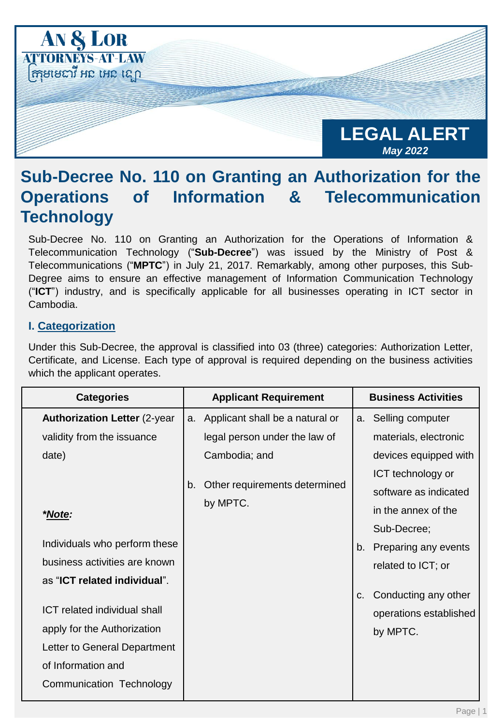

# **Sub-Decree No. 110 on Granting an Authorization for the Operations of Information & Telecommunication Technology**

Sub-Decree No. 110 on Granting an Authorization for the Operations of Information & Telecommunication Technology ("**Sub-Decree**") was issued by the Ministry of Post & Telecommunications ("**MPTC**") in July 21, 2017. Remarkably, among other purposes, this Sub-Degree aims to ensure an effective management of Information Communication Technology ("**ICT**") industry, and is specifically applicable for all businesses operating in ICT sector in Cambodia.

## **I. Categorization**

Under this Sub-Decree, the approval is classified into 03 (three) categories: Authorization Letter, Certificate, and License. Each type of approval is required depending on the business activities which the applicant operates.

| <b>Categories</b>                   |    | <b>Applicant Requirement</b>       | <b>Business Activities</b> |                        |
|-------------------------------------|----|------------------------------------|----------------------------|------------------------|
| <b>Authorization Letter (2-year</b> |    | a. Applicant shall be a natural or |                            | a. Selling computer    |
| validity from the issuance          |    | legal person under the law of      |                            | materials, electronic  |
| date)                               |    | Cambodia; and                      |                            | devices equipped with  |
|                                     |    |                                    |                            | ICT technology or      |
|                                     | b. | Other requirements determined      |                            | software as indicated  |
| *Note:                              |    | by MPTC.                           |                            | in the annex of the    |
|                                     |    |                                    |                            | Sub-Decree;            |
| Individuals who perform these       |    |                                    | b.                         | Preparing any events   |
| business activities are known       |    |                                    |                            | related to ICT; or     |
| as "ICT related individual".        |    |                                    |                            |                        |
|                                     |    |                                    | C.                         | Conducting any other   |
| <b>ICT</b> related individual shall |    |                                    |                            | operations established |
| apply for the Authorization         |    |                                    |                            | by MPTC.               |
| Letter to General Department        |    |                                    |                            |                        |
| of Information and                  |    |                                    |                            |                        |
| Communication Technology            |    |                                    |                            |                        |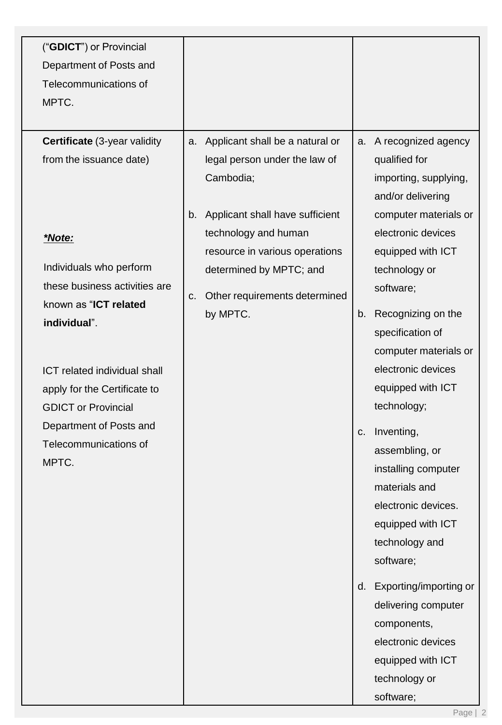| ("GDICT") or Provincial<br>Department of Posts and |                                       |                                            |
|----------------------------------------------------|---------------------------------------|--------------------------------------------|
| Telecommunications of                              |                                       |                                            |
| MPTC.                                              |                                       |                                            |
|                                                    |                                       |                                            |
| <b>Certificate</b> (3-year validity                | Applicant shall be a natural or<br>a. | A recognized agency<br>a.                  |
| from the issuance date)                            | legal person under the law of         | qualified for                              |
|                                                    | Cambodia;                             | importing, supplying,<br>and/or delivering |
|                                                    | b. Applicant shall have sufficient    | computer materials or                      |
| *Note:                                             | technology and human                  | electronic devices                         |
|                                                    | resource in various operations        | equipped with ICT                          |
| Individuals who perform                            | determined by MPTC; and               | technology or                              |
| these business activities are                      | Other requirements determined<br>C.   | software;                                  |
| known as "ICT related<br>individual".              | by MPTC.                              | Recognizing on the<br>b.                   |
|                                                    |                                       | specification of                           |
|                                                    |                                       | computer materials or                      |
| <b>ICT related individual shall</b>                |                                       | electronic devices                         |
| apply for the Certificate to                       |                                       | equipped with ICT                          |
| <b>GDICT or Provincial</b>                         |                                       | technology;                                |
| Department of Posts and                            |                                       | Inventing,<br>C.                           |
| Telecommunications of<br>MPTC.                     |                                       | assembling, or                             |
|                                                    |                                       | installing computer                        |
|                                                    |                                       | materials and                              |
|                                                    |                                       | electronic devices.                        |
|                                                    |                                       | equipped with ICT<br>technology and        |
|                                                    |                                       | software;                                  |
|                                                    |                                       |                                            |
|                                                    |                                       | Exporting/importing or<br>d.               |
|                                                    |                                       | delivering computer                        |
|                                                    |                                       | components,<br>electronic devices          |
|                                                    |                                       | equipped with ICT                          |
|                                                    |                                       | technology or                              |
|                                                    |                                       | software;                                  |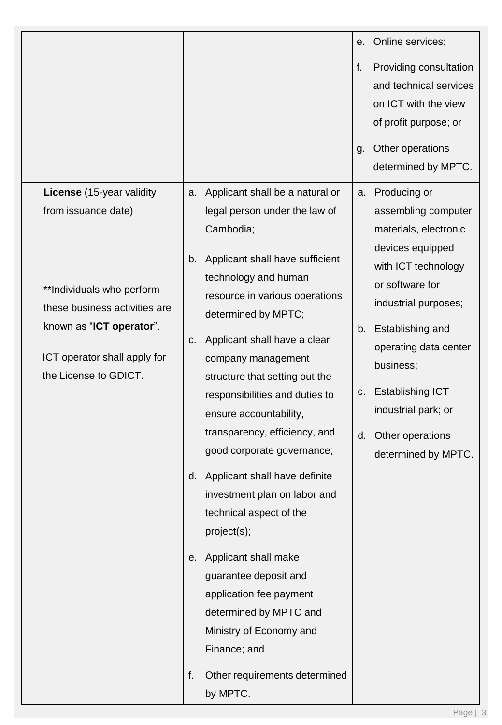|                                                                                                                                                                                                     |                                                                                                                                                                                                                                                                                                                                                                                                                                                                                                                                                                                                                                                                                                                | е.       | Online services;                                                                                                                                                                                                                                                                                                |
|-----------------------------------------------------------------------------------------------------------------------------------------------------------------------------------------------------|----------------------------------------------------------------------------------------------------------------------------------------------------------------------------------------------------------------------------------------------------------------------------------------------------------------------------------------------------------------------------------------------------------------------------------------------------------------------------------------------------------------------------------------------------------------------------------------------------------------------------------------------------------------------------------------------------------------|----------|-----------------------------------------------------------------------------------------------------------------------------------------------------------------------------------------------------------------------------------------------------------------------------------------------------------------|
|                                                                                                                                                                                                     |                                                                                                                                                                                                                                                                                                                                                                                                                                                                                                                                                                                                                                                                                                                | f.<br>g. | Providing consultation<br>and technical services<br>on ICT with the view<br>of profit purpose; or<br>Other operations<br>determined by MPTC.                                                                                                                                                                    |
| License (15-year validity<br>from issuance date)<br>**Individuals who perform<br>these business activities are<br>known as "ICT operator".<br>ICT operator shall apply for<br>the License to GDICT. | Applicant shall be a natural or<br>a.<br>legal person under the law of<br>Cambodia;<br>Applicant shall have sufficient<br>b.<br>technology and human<br>resource in various operations<br>determined by MPTC;<br>Applicant shall have a clear<br>C.<br>company management<br>structure that setting out the<br>responsibilities and duties to<br>ensure accountability,<br>transparency, efficiency, and<br>good corporate governance;<br>Applicant shall have definite<br>d.<br>investment plan on labor and<br>technical aspect of the<br>project(s);<br>Applicant shall make<br>е.<br>guarantee deposit and<br>application fee payment<br>determined by MPTC and<br>Ministry of Economy and<br>Finance; and | b.<br>C. | a. Producing or<br>assembling computer<br>materials, electronic<br>devices equipped<br>with ICT technology<br>or software for<br>industrial purposes;<br>Establishing and<br>operating data center<br>business;<br><b>Establishing ICT</b><br>industrial park; or<br>d. Other operations<br>determined by MPTC. |
|                                                                                                                                                                                                     | Other requirements determined<br>f.<br>by MPTC.                                                                                                                                                                                                                                                                                                                                                                                                                                                                                                                                                                                                                                                                |          |                                                                                                                                                                                                                                                                                                                 |